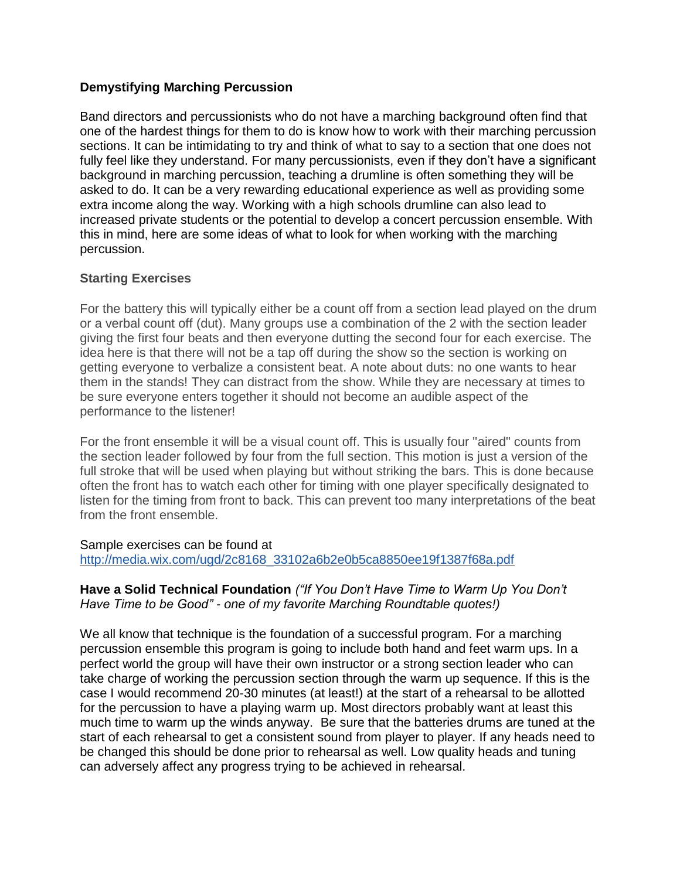### **Demystifying Marching Percussion**

Band directors and percussionists who do not have a marching background often find that one of the hardest things for them to do is know how to work with their marching percussion sections. It can be intimidating to try and think of what to say to a section that one does not fully feel like they understand. For many percussionists, even if they don't have a significant background in marching percussion, teaching a drumline is often something they will be asked to do. It can be a very rewarding educational experience as well as providing some extra income along the way. Working with a high schools drumline can also lead to increased private students or the potential to develop a concert percussion ensemble. With this in mind, here are some ideas of what to look for when working with the marching percussion.

### **Starting Exercises**

For the battery this will typically either be a count off from a section lead played on the drum or a verbal count off (dut). Many groups use a combination of the 2 with the section leader giving the first four beats and then everyone dutting the second four for each exercise. The idea here is that there will not be a tap off during the show so the section is working on getting everyone to verbalize a consistent beat. A note about duts: no one wants to hear them in the stands! They can distract from the show. While they are necessary at times to be sure everyone enters together it should not become an audible aspect of the performance to the listener!

For the front ensemble it will be a visual count off. This is usually four "aired" counts from the section leader followed by four from the full section. This motion is just a version of the full stroke that will be used when playing but without striking the bars. This is done because often the front has to watch each other for timing with one player specifically designated to listen for the timing from front to back. This can prevent too many interpretations of the beat from the front ensemble.

#### Sample exercises can be found at

[http://media.wix.com/ugd/2c8168\\_33102a6b2e0b5ca8850ee19f1387f68a.pdf](http://media.wix.com/ugd/2c8168_33102a6b2e0b5ca8850ee19f1387f68a.pdf)

#### **Have a Solid Technical Foundation** *("If You Don't Have Time to Warm Up You Don't Have Time to be Good" - one of my favorite Marching Roundtable quotes!)*

We all know that technique is the foundation of a successful program. For a marching percussion ensemble this program is going to include both hand and feet warm ups. In a perfect world the group will have their own instructor or a strong section leader who can take charge of working the percussion section through the warm up sequence. If this is the case I would recommend 20-30 minutes (at least!) at the start of a rehearsal to be allotted for the percussion to have a playing warm up. Most directors probably want at least this much time to warm up the winds anyway. Be sure that the batteries drums are tuned at the start of each rehearsal to get a consistent sound from player to player. If any heads need to be changed this should be done prior to rehearsal as well. Low quality heads and tuning can adversely affect any progress trying to be achieved in rehearsal.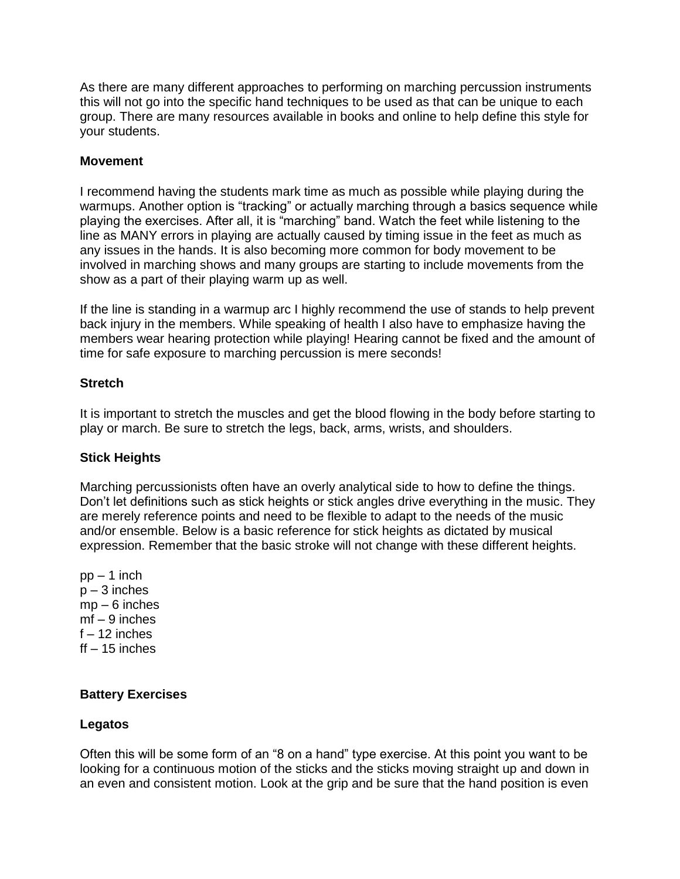As there are many different approaches to performing on marching percussion instruments this will not go into the specific hand techniques to be used as that can be unique to each group. There are many resources available in books and online to help define this style for your students.

#### **Movement**

I recommend having the students mark time as much as possible while playing during the warmups. Another option is "tracking" or actually marching through a basics sequence while playing the exercises. After all, it is "marching" band. Watch the feet while listening to the line as MANY errors in playing are actually caused by timing issue in the feet as much as any issues in the hands. It is also becoming more common for body movement to be involved in marching shows and many groups are starting to include movements from the show as a part of their playing warm up as well.

If the line is standing in a warmup arc I highly recommend the use of stands to help prevent back injury in the members. While speaking of health I also have to emphasize having the members wear hearing protection while playing! Hearing cannot be fixed and the amount of time for safe exposure to marching percussion is mere seconds!

### **Stretch**

It is important to stretch the muscles and get the blood flowing in the body before starting to play or march. Be sure to stretch the legs, back, arms, wrists, and shoulders.

## **Stick Heights**

Marching percussionists often have an overly analytical side to how to define the things. Don't let definitions such as stick heights or stick angles drive everything in the music. They are merely reference points and need to be flexible to adapt to the needs of the music and/or ensemble. Below is a basic reference for stick heights as dictated by musical expression. Remember that the basic stroke will not change with these different heights.

pp – 1 inch  $p - 3$  inches  $mp - 6$  inches mf – 9 inches  $f - 12$  inches  $ft - 15$  inches

#### **Battery Exercises**

#### **Legatos**

Often this will be some form of an "8 on a hand" type exercise. At this point you want to be looking for a continuous motion of the sticks and the sticks moving straight up and down in an even and consistent motion. Look at the grip and be sure that the hand position is even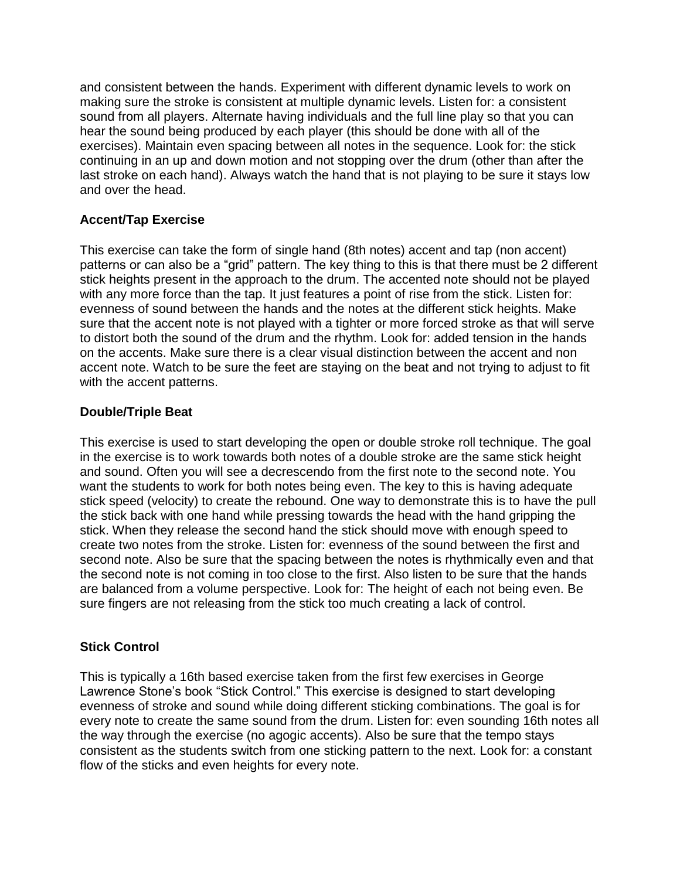and consistent between the hands. Experiment with different dynamic levels to work on making sure the stroke is consistent at multiple dynamic levels. Listen for: a consistent sound from all players. Alternate having individuals and the full line play so that you can hear the sound being produced by each player (this should be done with all of the exercises). Maintain even spacing between all notes in the sequence. Look for: the stick continuing in an up and down motion and not stopping over the drum (other than after the last stroke on each hand). Always watch the hand that is not playing to be sure it stays low and over the head.

## **Accent/Tap Exercise**

This exercise can take the form of single hand (8th notes) accent and tap (non accent) patterns or can also be a "grid" pattern. The key thing to this is that there must be 2 different stick heights present in the approach to the drum. The accented note should not be played with any more force than the tap. It just features a point of rise from the stick. Listen for: evenness of sound between the hands and the notes at the different stick heights. Make sure that the accent note is not played with a tighter or more forced stroke as that will serve to distort both the sound of the drum and the rhythm. Look for: added tension in the hands on the accents. Make sure there is a clear visual distinction between the accent and non accent note. Watch to be sure the feet are staying on the beat and not trying to adjust to fit with the accent patterns.

# **Double/Triple Beat**

This exercise is used to start developing the open or double stroke roll technique. The goal in the exercise is to work towards both notes of a double stroke are the same stick height and sound. Often you will see a decrescendo from the first note to the second note. You want the students to work for both notes being even. The key to this is having adequate stick speed (velocity) to create the rebound. One way to demonstrate this is to have the pull the stick back with one hand while pressing towards the head with the hand gripping the stick. When they release the second hand the stick should move with enough speed to create two notes from the stroke. Listen for: evenness of the sound between the first and second note. Also be sure that the spacing between the notes is rhythmically even and that the second note is not coming in too close to the first. Also listen to be sure that the hands are balanced from a volume perspective. Look for: The height of each not being even. Be sure fingers are not releasing from the stick too much creating a lack of control.

## **Stick Control**

This is typically a 16th based exercise taken from the first few exercises in George Lawrence Stone's book "Stick Control." This exercise is designed to start developing evenness of stroke and sound while doing different sticking combinations. The goal is for every note to create the same sound from the drum. Listen for: even sounding 16th notes all the way through the exercise (no agogic accents). Also be sure that the tempo stays consistent as the students switch from one sticking pattern to the next. Look for: a constant flow of the sticks and even heights for every note.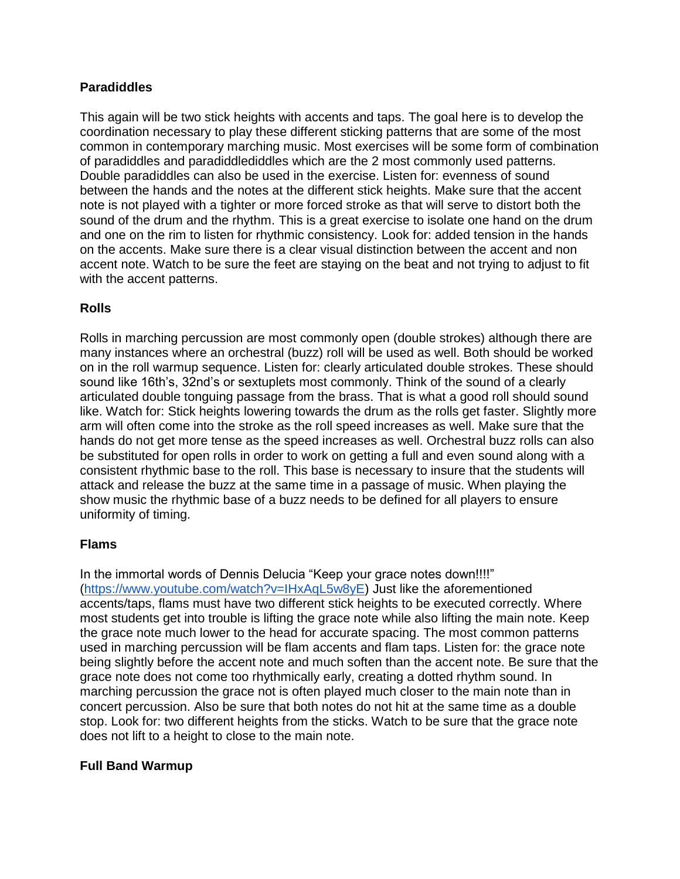### **Paradiddles**

This again will be two stick heights with accents and taps. The goal here is to develop the coordination necessary to play these different sticking patterns that are some of the most common in contemporary marching music. Most exercises will be some form of combination of paradiddles and paradiddlediddles which are the 2 most commonly used patterns. Double paradiddles can also be used in the exercise. Listen for: evenness of sound between the hands and the notes at the different stick heights. Make sure that the accent note is not played with a tighter or more forced stroke as that will serve to distort both the sound of the drum and the rhythm. This is a great exercise to isolate one hand on the drum and one on the rim to listen for rhythmic consistency. Look for: added tension in the hands on the accents. Make sure there is a clear visual distinction between the accent and non accent note. Watch to be sure the feet are staying on the beat and not trying to adjust to fit with the accent patterns.

### **Rolls**

Rolls in marching percussion are most commonly open (double strokes) although there are many instances where an orchestral (buzz) roll will be used as well. Both should be worked on in the roll warmup sequence. Listen for: clearly articulated double strokes. These should sound like 16th's, 32nd's or sextuplets most commonly. Think of the sound of a clearly articulated double tonguing passage from the brass. That is what a good roll should sound like. Watch for: Stick heights lowering towards the drum as the rolls get faster. Slightly more arm will often come into the stroke as the roll speed increases as well. Make sure that the hands do not get more tense as the speed increases as well. Orchestral buzz rolls can also be substituted for open rolls in order to work on getting a full and even sound along with a consistent rhythmic base to the roll. This base is necessary to insure that the students will attack and release the buzz at the same time in a passage of music. When playing the show music the rhythmic base of a buzz needs to be defined for all players to ensure uniformity of timing.

#### **Flams**

In the immortal words of Dennis Delucia "Keep your grace notes down!!!!" [\(https://www.youtube.com/watch?v=IHxAqL5w8yE\)](https://www.youtube.com/watch?v=IHxAqL5w8yE) Just like the aforementioned accents/taps, flams must have two different stick heights to be executed correctly. Where most students get into trouble is lifting the grace note while also lifting the main note. Keep the grace note much lower to the head for accurate spacing. The most common patterns used in marching percussion will be flam accents and flam taps. Listen for: the grace note being slightly before the accent note and much soften than the accent note. Be sure that the grace note does not come too rhythmically early, creating a dotted rhythm sound. In marching percussion the grace not is often played much closer to the main note than in concert percussion. Also be sure that both notes do not hit at the same time as a double stop. Look for: two different heights from the sticks. Watch to be sure that the grace note does not lift to a height to close to the main note.

#### **Full Band Warmup**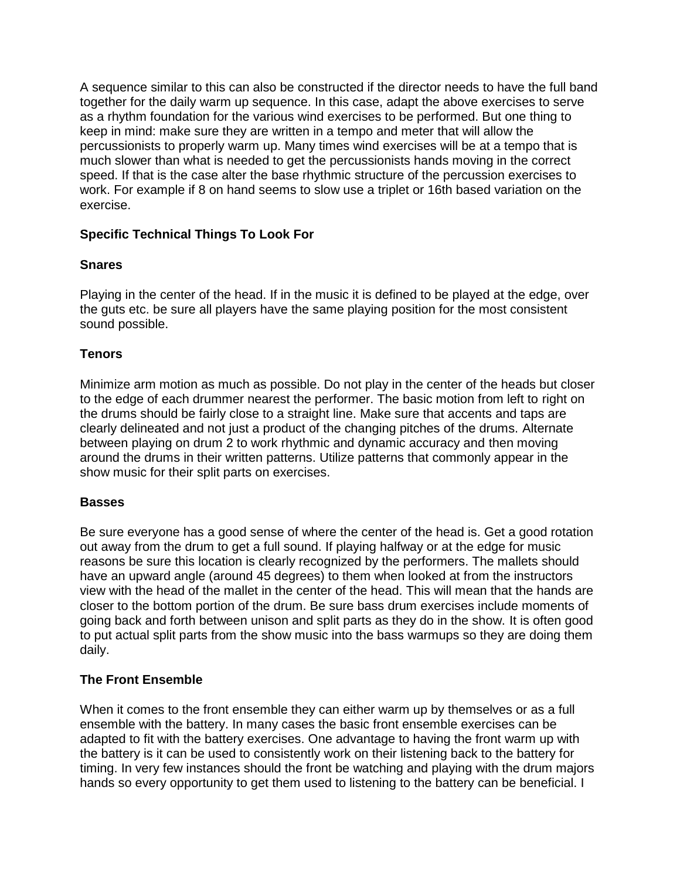A sequence similar to this can also be constructed if the director needs to have the full band together for the daily warm up sequence. In this case, adapt the above exercises to serve as a rhythm foundation for the various wind exercises to be performed. But one thing to keep in mind: make sure they are written in a tempo and meter that will allow the percussionists to properly warm up. Many times wind exercises will be at a tempo that is much slower than what is needed to get the percussionists hands moving in the correct speed. If that is the case alter the base rhythmic structure of the percussion exercises to work. For example if 8 on hand seems to slow use a triplet or 16th based variation on the exercise.

## **Specific Technical Things To Look For**

### **Snares**

Playing in the center of the head. If in the music it is defined to be played at the edge, over the guts etc. be sure all players have the same playing position for the most consistent sound possible.

### **Tenors**

Minimize arm motion as much as possible. Do not play in the center of the heads but closer to the edge of each drummer nearest the performer. The basic motion from left to right on the drums should be fairly close to a straight line. Make sure that accents and taps are clearly delineated and not just a product of the changing pitches of the drums. Alternate between playing on drum 2 to work rhythmic and dynamic accuracy and then moving around the drums in their written patterns. Utilize patterns that commonly appear in the show music for their split parts on exercises.

#### **Basses**

Be sure everyone has a good sense of where the center of the head is. Get a good rotation out away from the drum to get a full sound. If playing halfway or at the edge for music reasons be sure this location is clearly recognized by the performers. The mallets should have an upward angle (around 45 degrees) to them when looked at from the instructors view with the head of the mallet in the center of the head. This will mean that the hands are closer to the bottom portion of the drum. Be sure bass drum exercises include moments of going back and forth between unison and split parts as they do in the show. It is often good to put actual split parts from the show music into the bass warmups so they are doing them daily.

#### **The Front Ensemble**

When it comes to the front ensemble they can either warm up by themselves or as a full ensemble with the battery. In many cases the basic front ensemble exercises can be adapted to fit with the battery exercises. One advantage to having the front warm up with the battery is it can be used to consistently work on their listening back to the battery for timing. In very few instances should the front be watching and playing with the drum majors hands so every opportunity to get them used to listening to the battery can be beneficial. I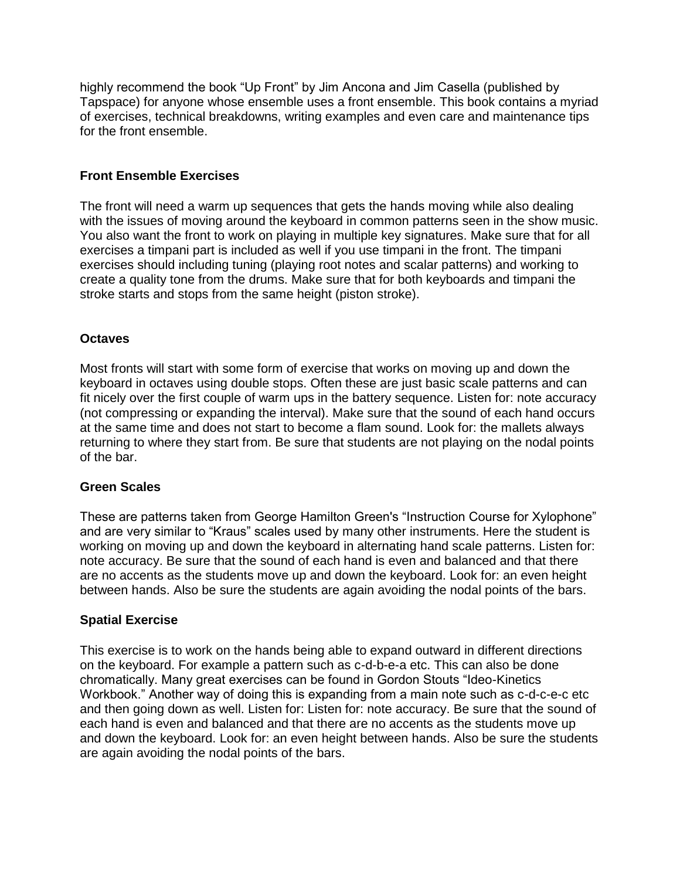highly recommend the book "Up Front" by Jim Ancona and Jim Casella (published by Tapspace) for anyone whose ensemble uses a front ensemble. This book contains a myriad of exercises, technical breakdowns, writing examples and even care and maintenance tips for the front ensemble.

## **Front Ensemble Exercises**

The front will need a warm up sequences that gets the hands moving while also dealing with the issues of moving around the keyboard in common patterns seen in the show music. You also want the front to work on playing in multiple key signatures. Make sure that for all exercises a timpani part is included as well if you use timpani in the front. The timpani exercises should including tuning (playing root notes and scalar patterns) and working to create a quality tone from the drums. Make sure that for both keyboards and timpani the stroke starts and stops from the same height (piston stroke).

## **Octaves**

Most fronts will start with some form of exercise that works on moving up and down the keyboard in octaves using double stops. Often these are just basic scale patterns and can fit nicely over the first couple of warm ups in the battery sequence. Listen for: note accuracy (not compressing or expanding the interval). Make sure that the sound of each hand occurs at the same time and does not start to become a flam sound. Look for: the mallets always returning to where they start from. Be sure that students are not playing on the nodal points of the bar.

## **Green Scales**

These are patterns taken from George Hamilton Green's "Instruction Course for Xylophone" and are very similar to "Kraus" scales used by many other instruments. Here the student is working on moving up and down the keyboard in alternating hand scale patterns. Listen for: note accuracy. Be sure that the sound of each hand is even and balanced and that there are no accents as the students move up and down the keyboard. Look for: an even height between hands. Also be sure the students are again avoiding the nodal points of the bars.

## **Spatial Exercise**

This exercise is to work on the hands being able to expand outward in different directions on the keyboard. For example a pattern such as c-d-b-e-a etc. This can also be done chromatically. Many great exercises can be found in Gordon Stouts "Ideo-Kinetics Workbook." Another way of doing this is expanding from a main note such as c-d-c-e-c etc and then going down as well. Listen for: Listen for: note accuracy. Be sure that the sound of each hand is even and balanced and that there are no accents as the students move up and down the keyboard. Look for: an even height between hands. Also be sure the students are again avoiding the nodal points of the bars.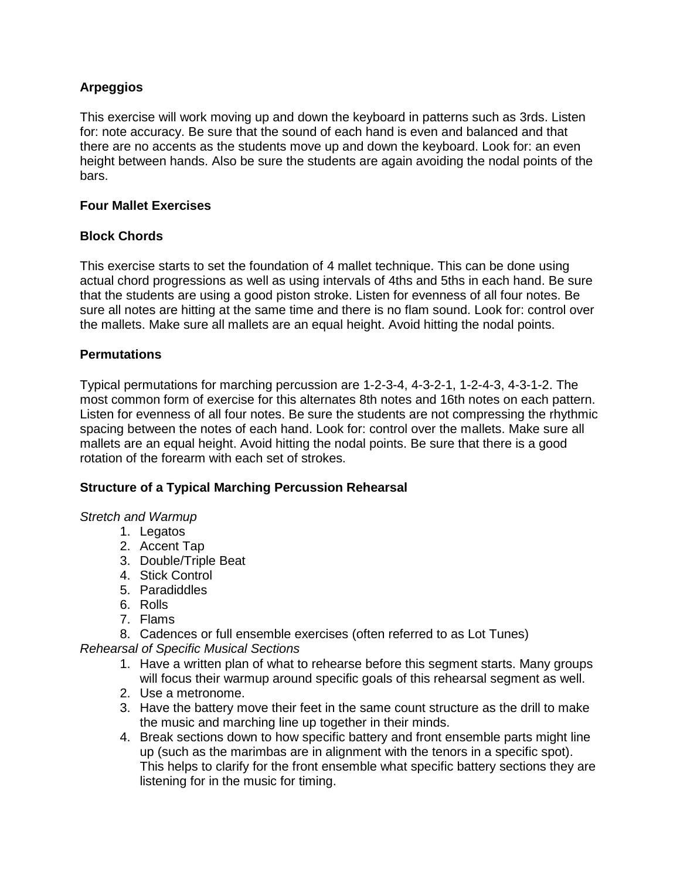# **Arpeggios**

This exercise will work moving up and down the keyboard in patterns such as 3rds. Listen for: note accuracy. Be sure that the sound of each hand is even and balanced and that there are no accents as the students move up and down the keyboard. Look for: an even height between hands. Also be sure the students are again avoiding the nodal points of the bars.

### **Four Mallet Exercises**

### **Block Chords**

This exercise starts to set the foundation of 4 mallet technique. This can be done using actual chord progressions as well as using intervals of 4ths and 5ths in each hand. Be sure that the students are using a good piston stroke. Listen for evenness of all four notes. Be sure all notes are hitting at the same time and there is no flam sound. Look for: control over the mallets. Make sure all mallets are an equal height. Avoid hitting the nodal points.

### **Permutations**

Typical permutations for marching percussion are 1-2-3-4, 4-3-2-1, 1-2-4-3, 4-3-1-2. The most common form of exercise for this alternates 8th notes and 16th notes on each pattern. Listen for evenness of all four notes. Be sure the students are not compressing the rhythmic spacing between the notes of each hand. Look for: control over the mallets. Make sure all mallets are an equal height. Avoid hitting the nodal points. Be sure that there is a good rotation of the forearm with each set of strokes.

## **Structure of a Typical Marching Percussion Rehearsal**

#### *Stretch and Warmup*

- 1. Legatos
- 2. Accent Tap
- 3. Double/Triple Beat
- 4. Stick Control
- 5. Paradiddles
- 6. Rolls
- 7. Flams
- 8. Cadences or full ensemble exercises (often referred to as Lot Tunes)

*Rehearsal of Specific Musical Sections* 

- 1. Have a written plan of what to rehearse before this segment starts. Many groups will focus their warmup around specific goals of this rehearsal segment as well.
- 2. Use a metronome.
- 3. Have the battery move their feet in the same count structure as the drill to make the music and marching line up together in their minds.
- 4. Break sections down to how specific battery and front ensemble parts might line up (such as the marimbas are in alignment with the tenors in a specific spot). This helps to clarify for the front ensemble what specific battery sections they are listening for in the music for timing.